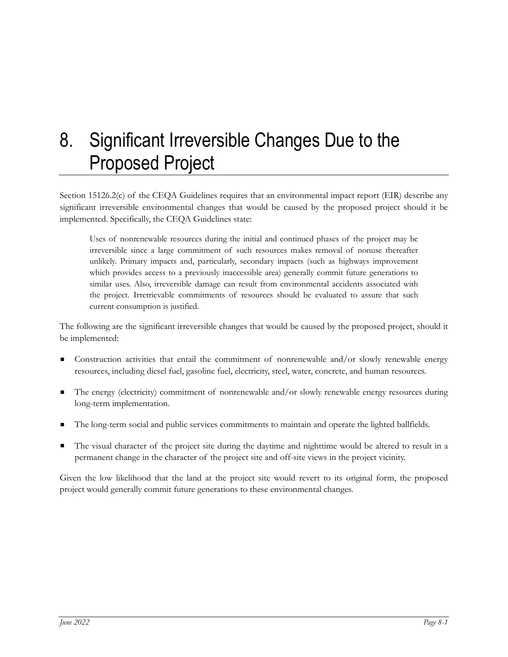## 8. Significant Irreversible Changes Due to the Proposed Project

Section 15126.2(c) of the CEQA Guidelines requires that an environmental impact report (EIR) describe any significant irreversible environmental changes that would be caused by the proposed project should it be implemented. Specifically, the CEQA Guidelines state:

Uses of nonrenewable resources during the initial and continued phases of the project may be irreversible since a large commitment of such resources makes removal of nonuse thereafter unlikely. Primary impacts and, particularly, secondary impacts (such as highways improvement which provides access to a previously inaccessible area) generally commit future generations to similar uses. Also, irreversible damage can result from environmental accidents associated with the project. Irretrievable commitments of resources should be evaluated to assure that such current consumption is justified.

The following are the significant irreversible changes that would be caused by the proposed project, should it be implemented:

- Construction activities that entail the commitment of nonrenewable and/or slowly renewable energy resources, including diesel fuel, gasoline fuel, electricity, steel, water, concrete, and human resources.
- The energy (electricity) commitment of nonrenewable and/or slowly renewable energy resources during long-term implementation.
- The long-term social and public services commitments to maintain and operate the lighted ballfields.
- The visual character of the project site during the daytime and nighttime would be altered to result in a permanent change in the character of the project site and off-site views in the project vicinity.

Given the low likelihood that the land at the project site would revert to its original form, the proposed project would generally commit future generations to these environmental changes.